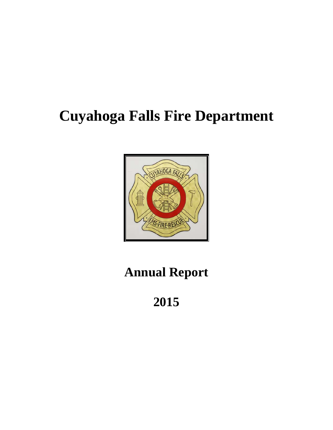# **Cuyahoga Falls Fire Department**



# **Annual Report**

**2015**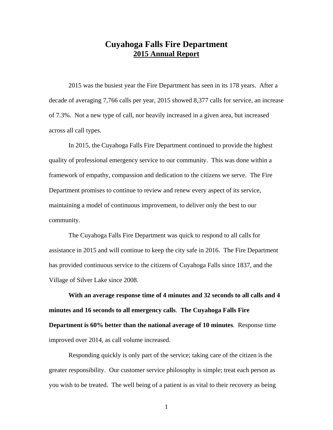# **Cuyahoga Falls Fire Department 2015 Annual Report**

2015 was the busiest year the Fire Department has seen in its 178 years. After a decade of averaging 7,766 calls per year, 2015 showed 8,377 calls for service, an increase of 7.3%. Not a new type of call, nor heavily increased in a given area, but increased across all call types.

In 2015, the Cuyahoga Falls Fire Department continued to provide the highest quality of professional emergency service to our community. This was done within a framework of empathy, compassion and dedication to the citizens we serve. The Fire Department promises to continue to review and renew every aspect of its service, maintaining a model of continuous improvement, to deliver only the best to our community.

The Cuyahoga Falls Fire Department was quick to respond to all calls for assistance in 2015 and will continue to keep the city safe in 2016. The Fire Department has provided continuous service to the citizens of Cuyahoga Falls since 1837, and the Village of Silver Lake since 2008.

**With an average response time of 4 minutes and 32 seconds to all calls and 4 minutes and 16 seconds to all emergency calls**. **The Cuyahoga Falls Fire Department is 60% better than the national average of 10 minutes**. Response time improved over 2014, as call volume increased.

Responding quickly is only part of the service; taking care of the citizen is the greater responsibility. Our customer service philosophy is simple; treat each person as you wish to be treated. The well being of a patient is as vital to their recovery as being

1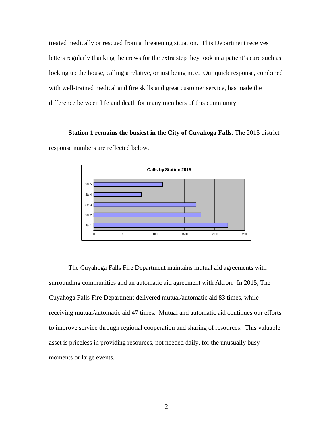treated medically or rescued from a threatening situation. This Department receives letters regularly thanking the crews for the extra step they took in a patient's care such as locking up the house, calling a relative, or just being nice. Our quick response, combined with well-trained medical and fire skills and great customer service, has made the difference between life and death for many members of this community.

**Station 1 remains the busiest in the City of Cuyahoga Falls**. The 2015 district response numbers are reflected below.



The Cuyahoga Falls Fire Department maintains mutual aid agreements with surrounding communities and an automatic aid agreement with Akron. In 2015, The Cuyahoga Falls Fire Department delivered mutual/automatic aid 83 times, while receiving mutual/automatic aid 47 times. Mutual and automatic aid continues our efforts to improve service through regional cooperation and sharing of resources. This valuable asset is priceless in providing resources, not needed daily, for the unusually busy moments or large events.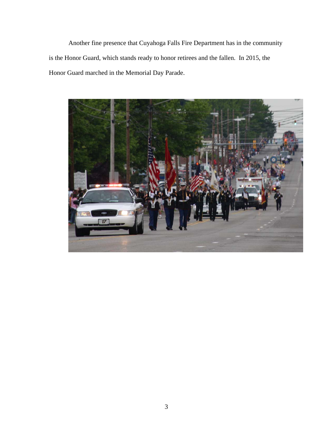Another fine presence that Cuyahoga Falls Fire Department has in the community is the Honor Guard, which stands ready to honor retirees and the fallen. In 2015, the Honor Guard marched in the Memorial Day Parade.

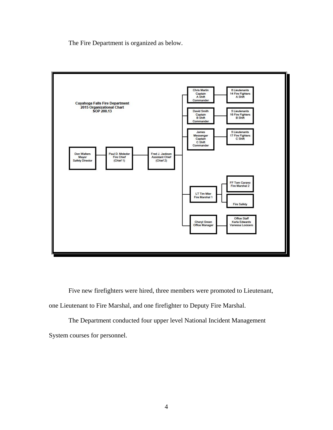The Fire Department is organized as below.



Five new firefighters were hired, three members were promoted to Lieutenant, one Lieutenant to Fire Marshal, and one firefighter to Deputy Fire Marshal.

The Department conducted four upper level National Incident Management System courses for personnel.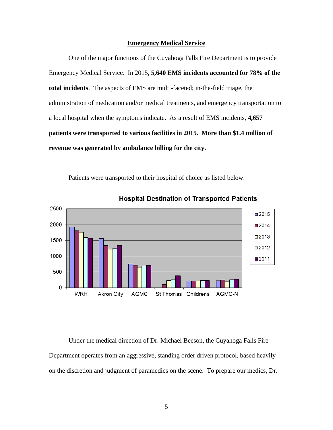#### **Emergency Medical Service**

One of the major functions of the Cuyahoga Falls Fire Department is to provide Emergency Medical Service. In 2015, **5,640 EMS incidents accounted for 78% of the total incidents**. The aspects of EMS are multi-faceted; in-the-field triage, the administration of medication and/or medical treatments, and emergency transportation to a local hospital when the symptoms indicate. As a result of EMS incidents, **4,657 patients were transported to various facilities in 2015. More than \$1.4 million of revenue was generated by ambulance billing for the city.** 



Patients were transported to their hospital of choice as listed below.

Under the medical direction of Dr. Michael Beeson, the Cuyahoga Falls Fire Department operates from an aggressive, standing order driven protocol, based heavily on the discretion and judgment of paramedics on the scene. To prepare our medics, Dr.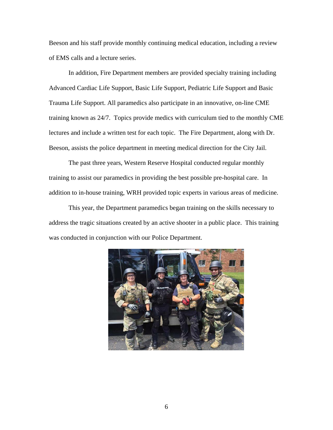Beeson and his staff provide monthly continuing medical education, including a review of EMS calls and a lecture series.

In addition, Fire Department members are provided specialty training including Advanced Cardiac Life Support, Basic Life Support, Pediatric Life Support and Basic Trauma Life Support. All paramedics also participate in an innovative, on-line CME training known as 24/7. Topics provide medics with curriculum tied to the monthly CME lectures and include a written test for each topic. The Fire Department, along with Dr. Beeson, assists the police department in meeting medical direction for the City Jail.

The past three years, Western Reserve Hospital conducted regular monthly training to assist our paramedics in providing the best possible pre-hospital care. In addition to in-house training, WRH provided topic experts in various areas of medicine.

This year, the Department paramedics began training on the skills necessary to address the tragic situations created by an active shooter in a public place. This training was conducted in conjunction with our Police Department.

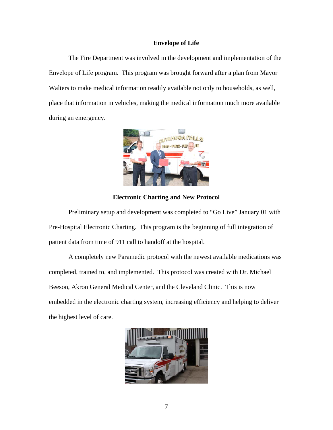#### **Envelope of Life**

The Fire Department was involved in the development and implementation of the Envelope of Life program. This program was brought forward after a plan from Mayor Walters to make medical information readily available not only to households, as well, place that information in vehicles, making the medical information much more available during an emergency.



**Electronic Charting and New Protocol** 

Preliminary setup and development was completed to "Go Live" January 01 with Pre-Hospital Electronic Charting. This program is the beginning of full integration of patient data from time of 911 call to handoff at the hospital.

A completely new Paramedic protocol with the newest available medications was completed, trained to, and implemented. This protocol was created with Dr. Michael Beeson, Akron General Medical Center, and the Cleveland Clinic. This is now embedded in the electronic charting system, increasing efficiency and helping to deliver the highest level of care.

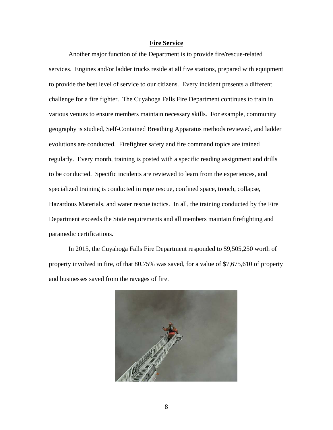#### **Fire Service**

Another major function of the Department is to provide fire/rescue-related services. Engines and/or ladder trucks reside at all five stations, prepared with equipment to provide the best level of service to our citizens. Every incident presents a different challenge for a fire fighter. The Cuyahoga Falls Fire Department continues to train in various venues to ensure members maintain necessary skills. For example, community geography is studied, Self-Contained Breathing Apparatus methods reviewed, and ladder evolutions are conducted. Firefighter safety and fire command topics are trained regularly. Every month, training is posted with a specific reading assignment and drills to be conducted. Specific incidents are reviewed to learn from the experiences, and specialized training is conducted in rope rescue, confined space, trench, collapse, Hazardous Materials, and water rescue tactics. In all, the training conducted by the Fire Department exceeds the State requirements and all members maintain firefighting and paramedic certifications.

In 2015, the Cuyahoga Falls Fire Department responded to \$9,505,250 worth of property involved in fire, of that 80.75% was saved, for a value of \$7,675,610 of property and businesses saved from the ravages of fire.

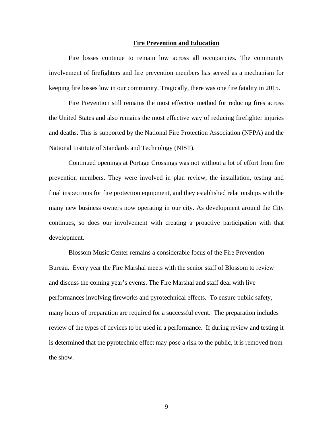#### **Fire Prevention and Education**

Fire losses continue to remain low across all occupancies. The community involvement of firefighters and fire prevention members has served as a mechanism for keeping fire losses low in our community. Tragically, there was one fire fatality in 2015.

 Fire Prevention still remains the most effective method for reducing fires across the United States and also remains the most effective way of reducing firefighter injuries and deaths. This is supported by the National Fire Protection Association (NFPA) and the National Institute of Standards and Technology (NIST).

Continued openings at Portage Crossings was not without a lot of effort from fire prevention members. They were involved in plan review, the installation, testing and final inspections for fire protection equipment, and they established relationships with the many new business owners now operating in our city. As development around the City continues, so does our involvement with creating a proactive participation with that development.

Blossom Music Center remains a considerable focus of the Fire Prevention Bureau. Every year the Fire Marshal meets with the senior staff of Blossom to review and discuss the coming year's events. The Fire Marshal and staff deal with live performances involving fireworks and pyrotechnical effects. To ensure public safety, many hours of preparation are required for a successful event. The preparation includes review of the types of devices to be used in a performance. If during review and testing it is determined that the pyrotechnic effect may pose a risk to the public, it is removed from the show.

9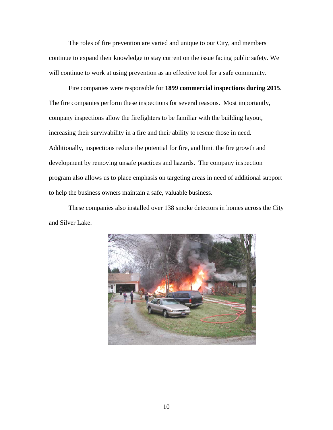The roles of fire prevention are varied and unique to our City, and members continue to expand their knowledge to stay current on the issue facing public safety. We will continue to work at using prevention as an effective tool for a safe community.

Fire companies were responsible for **1899 commercial inspections during 2015**. The fire companies perform these inspections for several reasons. Most importantly, company inspections allow the firefighters to be familiar with the building layout, increasing their survivability in a fire and their ability to rescue those in need. Additionally, inspections reduce the potential for fire, and limit the fire growth and development by removing unsafe practices and hazards. The company inspection program also allows us to place emphasis on targeting areas in need of additional support to help the business owners maintain a safe, valuable business.

These companies also installed over 138 smoke detectors in homes across the City and Silver Lake.

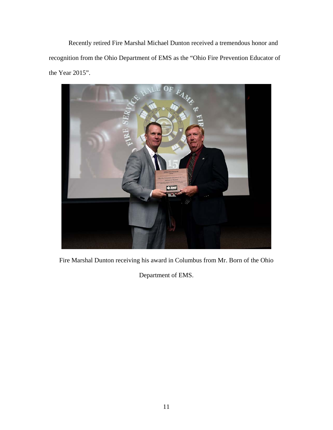Recently retired Fire Marshal Michael Dunton received a tremendous honor and recognition from the Ohio Department of EMS as the "Ohio Fire Prevention Educator of the Year 2015".



Fire Marshal Dunton receiving his award in Columbus from Mr. Born of the Ohio

Department of EMS.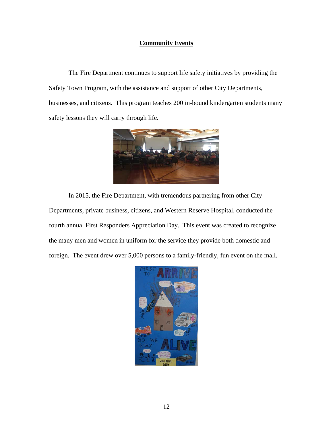### **Community Events**

 The Fire Department continues to support life safety initiatives by providing the Safety Town Program, with the assistance and support of other City Departments, businesses, and citizens. This program teaches 200 in-bound kindergarten students many safety lessons they will carry through life.



In 2015, the Fire Department, with tremendous partnering from other City Departments, private business, citizens, and Western Reserve Hospital, conducted the fourth annual First Responders Appreciation Day. This event was created to recognize the many men and women in uniform for the service they provide both domestic and foreign. The event drew over 5,000 persons to a family-friendly, fun event on the mall.

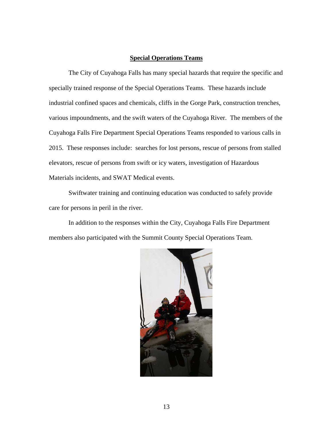#### **Special Operations Teams**

The City of Cuyahoga Falls has many special hazards that require the specific and specially trained response of the Special Operations Teams. These hazards include industrial confined spaces and chemicals, cliffs in the Gorge Park, construction trenches, various impoundments, and the swift waters of the Cuyahoga River. The members of the Cuyahoga Falls Fire Department Special Operations Teams responded to various calls in 2015. These responses include: searches for lost persons, rescue of persons from stalled elevators, rescue of persons from swift or icy waters, investigation of Hazardous Materials incidents, and SWAT Medical events.

Swiftwater training and continuing education was conducted to safely provide care for persons in peril in the river.

In addition to the responses within the City, Cuyahoga Falls Fire Department members also participated with the Summit County Special Operations Team.

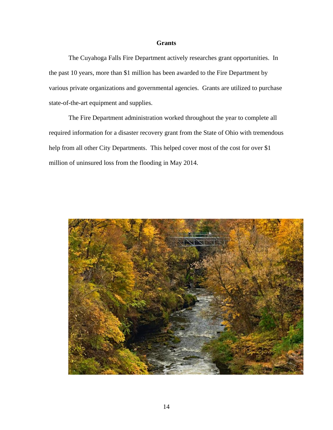#### **Grants**

The Cuyahoga Falls Fire Department actively researches grant opportunities. In the past 10 years, more than \$1 million has been awarded to the Fire Department by various private organizations and governmental agencies. Grants are utilized to purchase state-of-the-art equipment and supplies.

The Fire Department administration worked throughout the year to complete all required information for a disaster recovery grant from the State of Ohio with tremendous help from all other City Departments. This helped cover most of the cost for over \$1 million of uninsured loss from the flooding in May 2014.

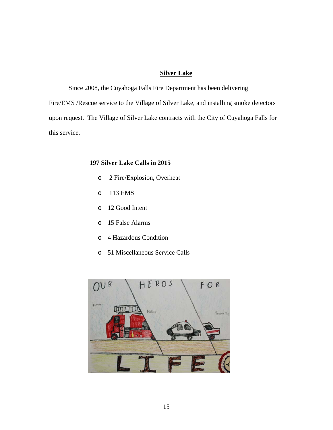# **Silver Lake**

Since 2008, the Cuyahoga Falls Fire Department has been delivering Fire/EMS /Rescue service to the Village of Silver Lake, and installing smoke detectors upon request. The Village of Silver Lake contracts with the City of Cuyahoga Falls for this service.

## **197 Silver Lake Calls in 2015**

- o 2 Fire/Explosion, Overheat
- o 113 EMS
- o 12 Good Intent
- o 15 False Alarms
- o 4 Hazardous Condition
- o 51 Miscellaneous Service Calls